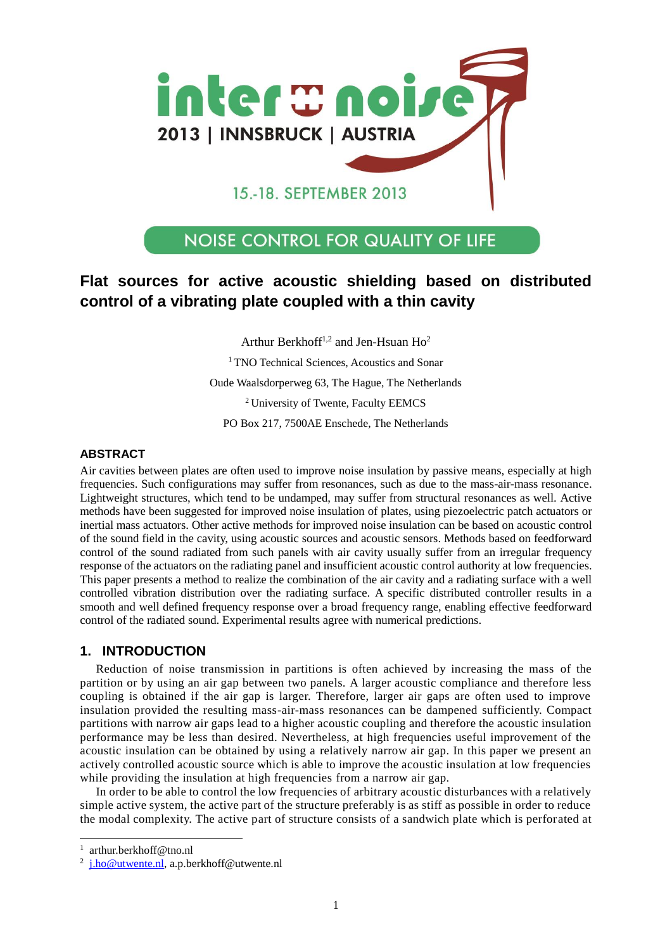

# 15.-18. SEPTEMBER 2013

# **NOISE CONTROL FOR QUALITY OF LIFE**

# **Flat sources for active acoustic shielding based on distributed control of a vibrating plate coupled with a thin cavity**

Arthur Berkhoff<sup>1,2</sup> and Jen-Hsuan  $H\alpha^2$ 

<sup>1</sup> TNO Technical Sciences, Acoustics and Sonar

Oude Waalsdorperweg 63, The Hague, The Netherlands

<sup>2</sup> University of Twente, Faculty EEMCS

PO Box 217, 7500AE Enschede, The Netherlands

## **ABSTRACT**

Air cavities between plates are often used to improve noise insulation by passive means, especially at high frequencies. Such configurations may suffer from resonances, such as due to the mass-air-mass resonance. Lightweight structures, which tend to be undamped, may suffer from structural resonances as well. Active methods have been suggested for improved noise insulation of plates, using piezoelectric patch actuators or inertial mass actuators. Other active methods for improved noise insulation can be based on acoustic control of the sound field in the cavity, using acoustic sources and acoustic sensors. Methods based on feedforward control of the sound radiated from such panels with air cavity usually suffer from an irregular frequency response of the actuators on the radiating panel and insufficient acoustic control authority at low frequencies. This paper presents a method to realize the combination of the air cavity and a radiating surface with a well controlled vibration distribution over the radiating surface. A specific distributed controller results in a smooth and well defined frequency response over a broad frequency range, enabling effective feedforward control of the radiated sound. Experimental results agree with numerical predictions.

## **1. INTRODUCTION**

Reduction of noise transmission in partitions is often achieved by increasing the mass of the partition or by using an air gap between two panels. A larger acoustic compliance and therefore less coupling is obtained if the air gap is larger. Therefore, larger air gaps are often used to improve insulation provided the resulting mass-air-mass resonances can be dampened sufficiently. Compact partitions with narrow air gaps lead to a higher acoustic coupling and therefore the acoustic insulation performance may be less than desired. Nevertheless, at high frequencies useful improvement of the acoustic insulation can be obtained by using a relatively narrow air gap. In this paper we present an actively controlled acoustic source which is able to improve the acoustic insulation at low frequencies while providing the insulation at high frequencies from a narrow air gap.

In order to be able to control the low frequencies of arbitrary acoustic disturbances with a relatively simple active system, the active part of the structure preferably is as stiff as possible in order to reduce the modal complexity. The active part of structure consists of a sandwich plate which is perforated at

1 arthur.berkhoff@tno.nl

 $\overline{a}$ 

<sup>&</sup>lt;sup>2</sup> [j.ho@utwente.nl,](mailto:j.ho@utwente.nl) a.p.berkhoff@utwente.nl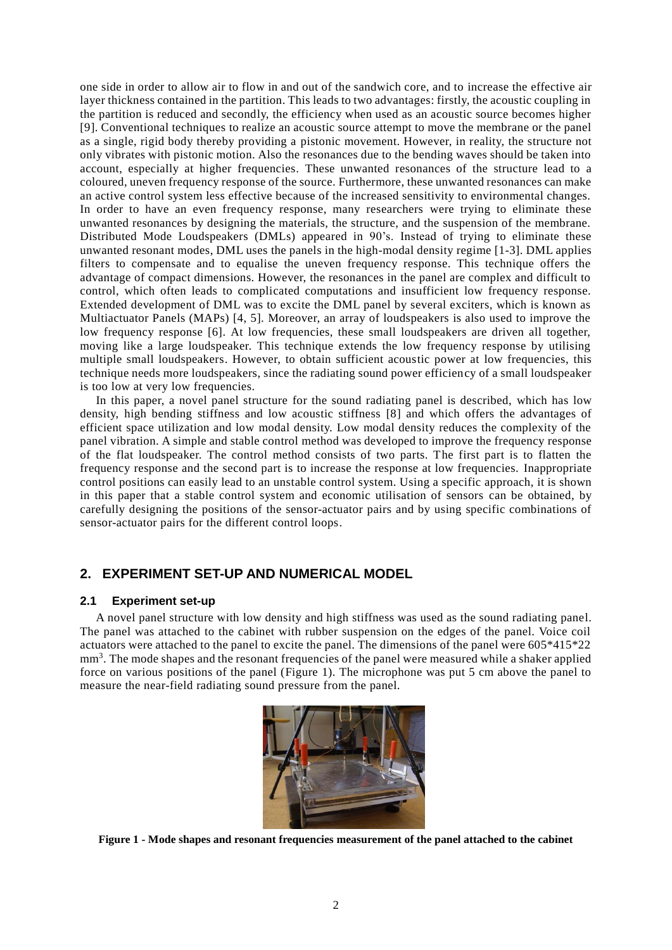one side in order to allow air to flow in and out of the sandwich core, and to increase the effective air layer thickness contained in the partition. This leads to two advantages: firstly, the acoustic coupling in the partition is reduced and secondly, the efficiency when used as an acoustic source becomes higher [9]. Conventional techniques to realize an acoustic source attempt to move the membrane or the panel as a single, rigid body thereby providing a pistonic movement. However, in reality, the structure not only vibrates with pistonic motion. Also the resonances due to the bending waves should be taken into account, especially at higher frequencies. These unwanted resonances of the structure lead to a coloured, uneven frequency response of the source. Furthermore, these unwanted resonances can make an active control system less effective because of the increased sensitivity to environmental changes. In order to have an even frequency response, many researchers were trying to eliminate these unwanted resonances by designing the materials, the structure, and the suspension of the membrane. Distributed Mode Loudspeakers (DMLs) appeared in 90's. Instead of trying to eliminate these unwanted resonant modes, DML uses the panels in the high-modal density regime [1-3]. DML applies filters to compensate and to equalise the uneven frequency response. This technique offers the advantage of compact dimensions. However, the resonances in the panel are complex and difficult to control, which often leads to complicated computations and insufficient low frequency response. Extended development of DML was to excite the DML panel by several exciters, which is known as Multiactuator Panels (MAPs) [4, 5]. Moreover, an array of loudspeakers is also used to improve the low frequency response [6]. At low frequencies, these small loudspeakers are driven all together, moving like a large loudspeaker. This technique extends the low frequency response by utilising multiple small loudspeakers. However, to obtain sufficient acoustic power at low frequencies, this technique needs more loudspeakers, since the radiating sound power efficiency of a small loudspeaker is too low at very low frequencies.

In this paper, a novel panel structure for the sound radiating panel is described, which has low density, high bending stiffness and low acoustic stiffness [8] and which offers the advantages of efficient space utilization and low modal density. Low modal density reduces the complexity of the panel vibration. A simple and stable control method was developed to improve the frequency response of the flat loudspeaker. The control method consists of two parts. The first part is to flatten the frequency response and the second part is to increase the response at low frequencies. Inappropriate control positions can easily lead to an unstable control system. Using a specific approach, it is shown in this paper that a stable control system and economic utilisation of sensors can be obtained, by carefully designing the positions of the sensor-actuator pairs and by using specific combinations of sensor-actuator pairs for the different control loops.

## **2. EXPERIMENT SET-UP AND NUMERICAL MODEL**

#### **2.1 Experiment set-up**

A novel panel structure with low density and high stiffness was used as the sound radiating panel. The panel was attached to the cabinet with rubber suspension on the edges of the panel. Voice coil actuators were attached to the panel to excite the panel. The dimensions of the panel were 605\*415\*22 mm<sup>3</sup>. The mode shapes and the resonant frequencies of the panel were measured while a shaker applied force on various positions of the panel [\(Figure 1\)](#page-1-0). The microphone was put 5 cm above the panel to measure the near-field radiating sound pressure from the panel.

<span id="page-1-0"></span>

**Figure 1 - Mode shapes and resonant frequencies measurement of the panel attached to the cabinet**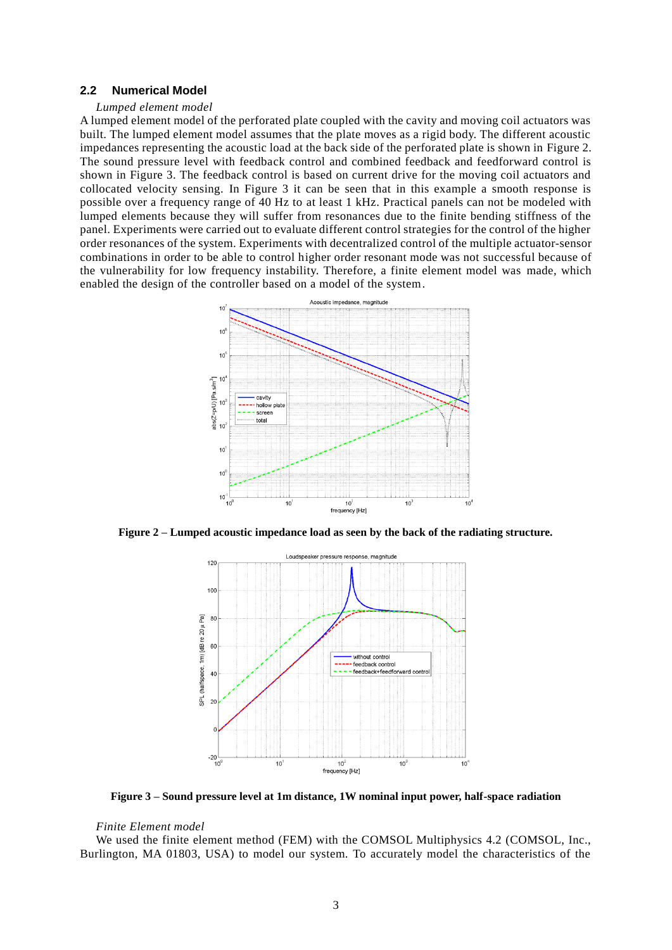#### **2.2 Numerical Model**

#### *Lumped element model*

A lumped element model of the perforated plate coupled with the cavity and moving coil actuators was built. The lumped element model assumes that the plate moves as a rigid body. The different acoustic impedances representing the acoustic load at the back side of the perforated plate is shown in [Figure 2.](#page-2-0) The sound pressure level with feedback control and combined feedback and feedforward control is shown in [Figure 3.](#page-2-1) The feedback control is based on current drive for the moving coil actuators and collocated velocity sensing. In [Figure 3](#page-2-1) it can be seen that in this example a smooth response is possible over a frequency range of 40 Hz to at least 1 kHz. Practical panels can not be modeled with lumped elements because they will suffer from resonances due to the finite bending stiffness of the panel. Experiments were carried out to evaluate different control strategies for the control of the higher order resonances of the system. Experiments with decentralized control of the multiple actuator-sensor combinations in order to be able to control higher order resonant mode was not successful because of the vulnerability for low frequency instability. Therefore, a finite element model was made, which enabled the design of the controller based on a model of the system.



<span id="page-2-0"></span>**Figure 2 – Lumped acoustic impedance load as seen by the back of the radiating structure.**



<span id="page-2-1"></span>**Figure 3 – Sound pressure level at 1m distance, 1W nominal input power, half-space radiation** 

#### *Finite Element model*

We used the finite element method (FEM) with the COMSOL Multiphysics 4.2 (COMSOL, Inc., Burlington, MA 01803, USA) to model our system. To accurately model the characteristics of the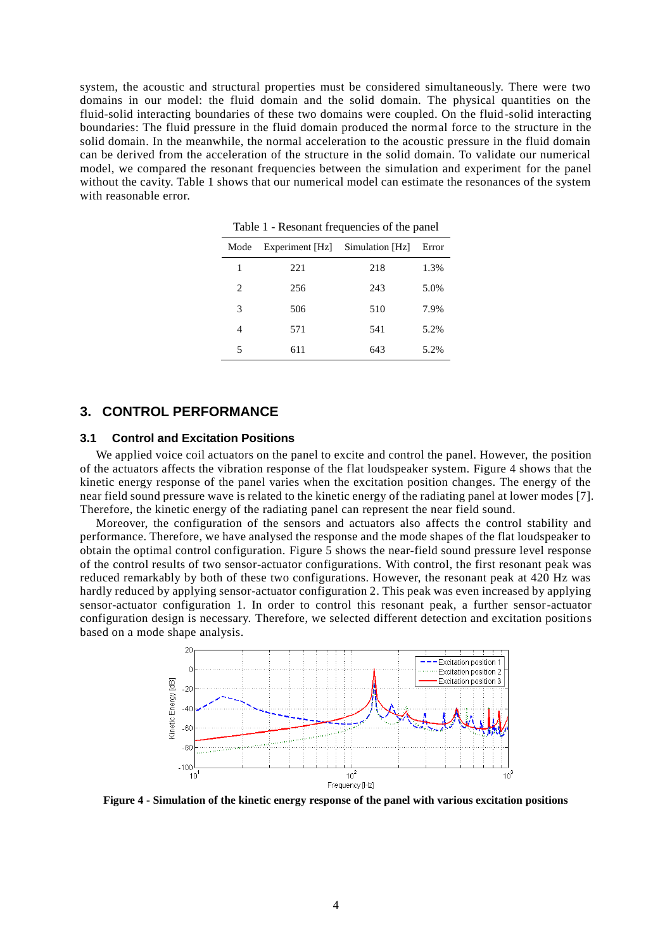system, the acoustic and structural properties must be considered simultaneously. There were two domains in our model: the fluid domain and the solid domain. The physical quantities on the fluid-solid interacting boundaries of these two domains were coupled. On the fluid-solid interacting boundaries: The fluid pressure in the fluid domain produced the normal force to the structure in the solid domain. In the meanwhile, the normal acceleration to the acoustic pressure in the fluid domain can be derived from the acceleration of the structure in the solid domain. To validate our numerical model, we compared the resonant frequencies between the simulation and experiment for the panel without the cavity. Table 1 shows that our numerical model can estimate the resonances of the system with reasonable error.

| Mode | Experiment [Hz] | Simulation [Hz] | Error |
|------|-----------------|-----------------|-------|
| 1    | 221             | 218             | 1.3%  |
| 2    | 256             | 243             | 5.0%  |
| 3    | 506             | 510             | 7.9%  |
| 4    | 571             | 541             | 5.2%  |
| 5    | 611             | 643             | 5.2%  |

Table 1 - Resonant frequencies of the panel

### **3. CONTROL PERFORMANCE**

### **3.1 Control and Excitation Positions**

We applied voice coil actuators on the panel to excite and control the panel. However, the position of the actuators affects the vibration response of the flat loudspeaker system. [Figure 4](#page-3-0) shows that the kinetic energy response of the panel varies when the excitation position changes. The energy of the near field sound pressure wave is related to the kinetic energy of the radiating panel at lower modes [7]. Therefore, the kinetic energy of the radiating panel can represent the near field sound.

Moreover, the configuration of the sensors and actuators also affects the control stability and performance. Therefore, we have analysed the response and the mode shapes of the flat loudspeaker to obtain the optimal control configuration. [Figure 5](#page-4-0) shows the near-field sound pressure level response of the control results of two sensor-actuator configurations. With control, the first resonant peak was reduced remarkably by both of these two configurations. However, the resonant peak at 420 Hz was hardly reduced by applying sensor-actuator configuration 2. This peak was even increased by applying sensor-actuator configuration 1. In order to control this resonant peak, a further sensor-actuator configuration design is necessary. Therefore, we selected different detection and excitation positions based on a mode shape analysis.



<span id="page-3-0"></span>**Figure 4 - Simulation of the kinetic energy response of the panel with various excitation positions**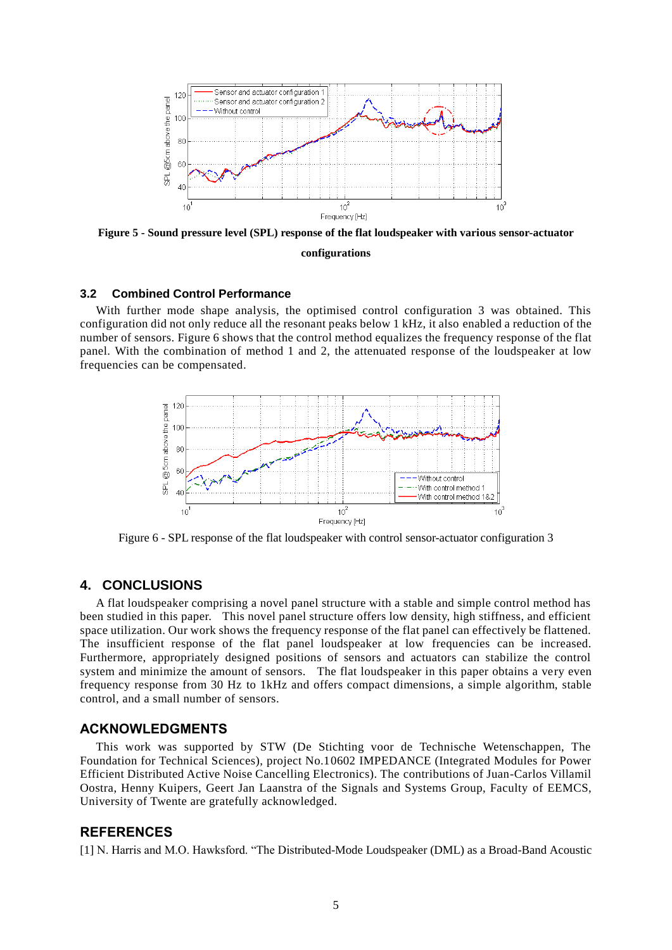

<span id="page-4-0"></span>**Figure 5 - Sound pressure level (SPL) response of the flat loudspeaker with various sensor-actuator configurations**

### **3.2 Combined Control Performance**

With further mode shape analysis, the optimised control configuration 3 was obtained. This configuration did not only reduce all the resonant peaks below 1 kHz, it also enabled a reduction of the number of sensors. [Figure 6](#page-4-1) shows that the control method equalizes the frequency response of the flat panel. With the combination of method 1 and 2, the attenuated response of the loudspeaker at low frequencies can be compensated.



<span id="page-4-1"></span>Figure 6 - SPL response of the flat loudspeaker with control sensor-actuator configuration 3

#### **4. CONCLUSIONS**

A flat loudspeaker comprising a novel panel structure with a stable and simple control method has been studied in this paper. This novel panel structure offers low density, high stiffness, and efficient space utilization. Our work shows the frequency response of the flat panel can effectively be flattened. The insufficient response of the flat panel loudspeaker at low frequencies can be increased. Furthermore, appropriately designed positions of sensors and actuators can stabilize the control system and minimize the amount of sensors. The flat loudspeaker in this paper obtains a very even frequency response from 30 Hz to 1kHz and offers compact dimensions, a simple algorithm, stable control, and a small number of sensors.

#### **ACKNOWLEDGMENTS**

This work was supported by STW (De Stichting voor de Technische Wetenschappen, The Foundation for Technical Sciences), project No.10602 IMPEDANCE (Integrated Modules for Power Efficient Distributed Active Noise Cancelling Electronics). The contributions of Juan-Carlos Villamil Oostra, Henny Kuipers, Geert Jan Laanstra of the Signals and Systems Group, Faculty of EEMCS, University of Twente are gratefully acknowledged.

## **REFERENCES**

[1] N. Harris and M.O. Hawksford. "The Distributed-Mode Loudspeaker (DML) as a Broad-Band Acoustic